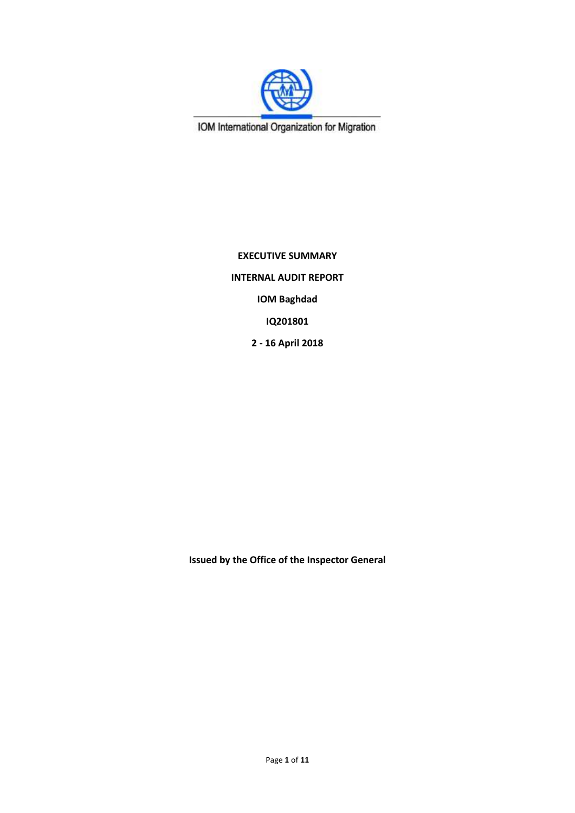

IOM International Organization for Migration

**EXECUTIVE SUMMARY INTERNAL AUDIT REPORT IOM Baghdad IQ201801 2 - 16 April 2018**

**Issued by the Office of the Inspector General**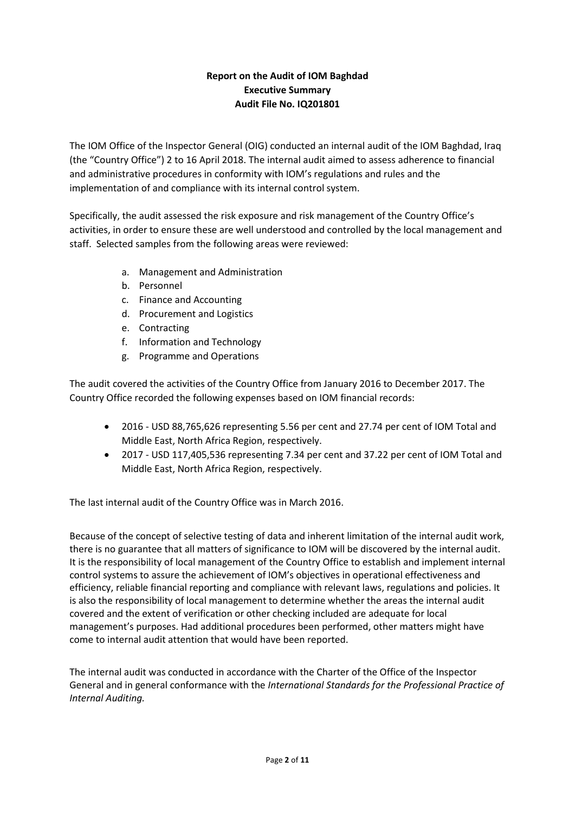# **Report on the Audit of IOM Baghdad Executive Summary Audit File No. IQ201801**

The IOM Office of the Inspector General (OIG) conducted an internal audit of the IOM Baghdad, Iraq (the "Country Office") 2 to 16 April 2018. The internal audit aimed to assess adherence to financial and administrative procedures in conformity with IOM's regulations and rules and the implementation of and compliance with its internal control system.

Specifically, the audit assessed the risk exposure and risk management of the Country Office's activities, in order to ensure these are well understood and controlled by the local management and staff. Selected samples from the following areas were reviewed:

- a. Management and Administration
- b. Personnel
- c. Finance and Accounting
- d. Procurement and Logistics
- e. Contracting
- f. Information and Technology
- g. Programme and Operations

The audit covered the activities of the Country Office from January 2016 to December 2017. The Country Office recorded the following expenses based on IOM financial records:

- 2016 USD 88,765,626 representing 5.56 per cent and 27.74 per cent of IOM Total and Middle East, North Africa Region, respectively.
- 2017 USD 117,405,536 representing 7.34 per cent and 37.22 per cent of IOM Total and Middle East, North Africa Region, respectively.

The last internal audit of the Country Office was in March 2016.

Because of the concept of selective testing of data and inherent limitation of the internal audit work, there is no guarantee that all matters of significance to IOM will be discovered by the internal audit. It is the responsibility of local management of the Country Office to establish and implement internal control systems to assure the achievement of IOM's objectives in operational effectiveness and efficiency, reliable financial reporting and compliance with relevant laws, regulations and policies. It is also the responsibility of local management to determine whether the areas the internal audit covered and the extent of verification or other checking included are adequate for local management's purposes. Had additional procedures been performed, other matters might have come to internal audit attention that would have been reported.

The internal audit was conducted in accordance with the Charter of the Office of the Inspector General and in general conformance with the *International Standards for the Professional Practice of Internal Auditing.*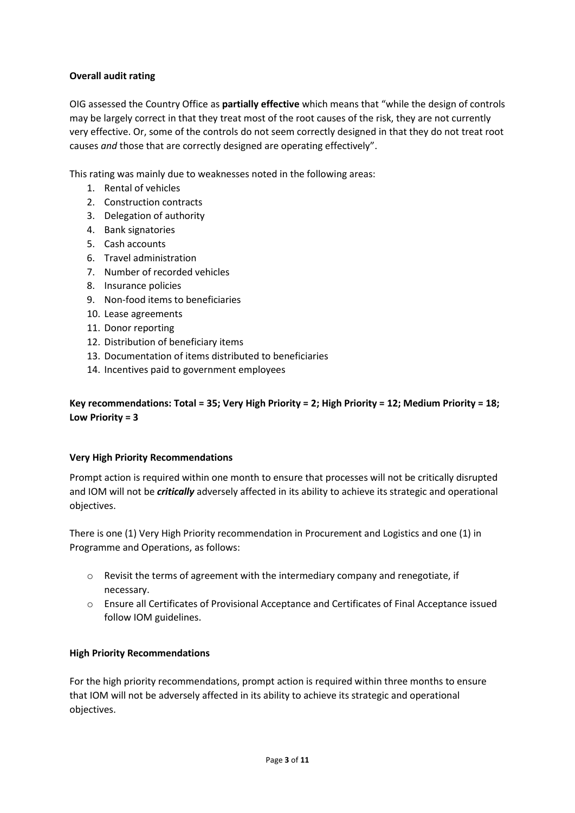# **Overall audit rating**

OIG assessed the Country Office as **partially effective** which means that "while the design of controls may be largely correct in that they treat most of the root causes of the risk, they are not currently very effective. Or, some of the controls do not seem correctly designed in that they do not treat root causes *and* those that are correctly designed are operating effectively".

This rating was mainly due to weaknesses noted in the following areas:

- 1. Rental of vehicles
- 2. Construction contracts
- 3. Delegation of authority
- 4. Bank signatories
- 5. Cash accounts
- 6. Travel administration
- 7. Number of recorded vehicles
- 8. Insurance policies
- 9. Non-food items to beneficiaries
- 10. Lease agreements
- 11. Donor reporting
- 12. Distribution of beneficiary items
- 13. Documentation of items distributed to beneficiaries
- 14. Incentives paid to government employees

**Key recommendations: Total = 35; Very High Priority = 2; High Priority = 12; Medium Priority = 18; Low Priority = 3**

#### **Very High Priority Recommendations**

Prompt action is required within one month to ensure that processes will not be critically disrupted and IOM will not be *critically* adversely affected in its ability to achieve its strategic and operational objectives.

There is one (1) Very High Priority recommendation in Procurement and Logistics and one (1) in Programme and Operations, as follows:

- $\circ$  Revisit the terms of agreement with the intermediary company and renegotiate, if necessary.
- o Ensure all Certificates of Provisional Acceptance and Certificates of Final Acceptance issued follow IOM guidelines.

#### **High Priority Recommendations**

For the high priority recommendations, prompt action is required within three months to ensure that IOM will not be adversely affected in its ability to achieve its strategic and operational objectives.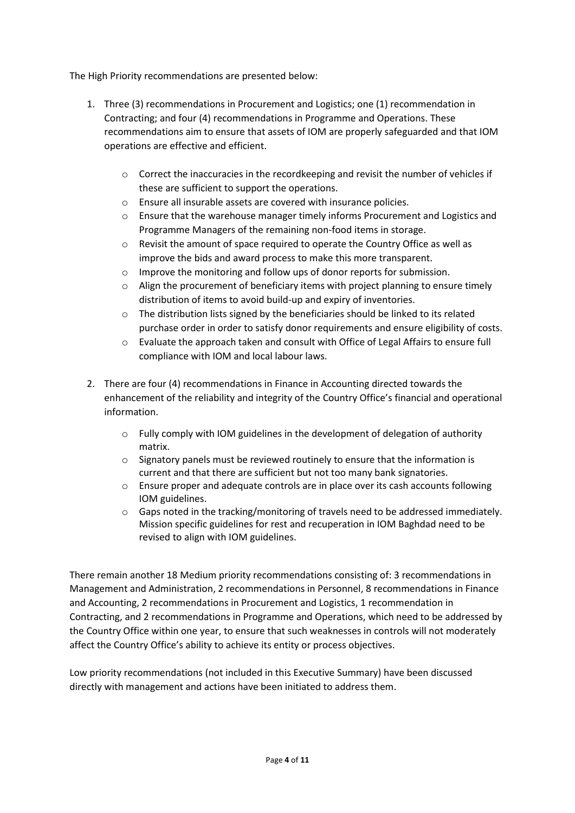The High Priority recommendations are presented below:

- 1. Three (3) recommendations in Procurement and Logistics; one (1) recommendation in Contracting; and four (4) recommendations in Programme and Operations. These recommendations aim to ensure that assets of IOM are properly safeguarded and that IOM operations are effective and efficient.
	- o Correct the inaccuracies in the recordkeeping and revisit the number of vehicles if these are sufficient to support the operations.
	- o Ensure all insurable assets are covered with insurance policies.
	- o Ensure that the warehouse manager timely informs Procurement and Logistics and Programme Managers of the remaining non-food items in storage.
	- o Revisit the amount of space required to operate the Country Office as well as improve the bids and award process to make this more transparent.
	- o Improve the monitoring and follow ups of donor reports for submission.
	- $\circ$  Align the procurement of beneficiary items with project planning to ensure timely distribution of items to avoid build-up and expiry of inventories.
	- $\circ$  The distribution lists signed by the beneficiaries should be linked to its related purchase order in order to satisfy donor requirements and ensure eligibility of costs.
	- o Evaluate the approach taken and consult with Office of Legal Affairs to ensure full compliance with IOM and local labour laws.
- 2. There are four (4) recommendations in Finance in Accounting directed towards the enhancement of the reliability and integrity of the Country Office's financial and operational information.
	- o Fully comply with IOM guidelines in the development of delegation of authority matrix.
	- $\circ$  Signatory panels must be reviewed routinely to ensure that the information is current and that there are sufficient but not too many bank signatories.
	- $\circ$  Ensure proper and adequate controls are in place over its cash accounts following IOM guidelines.
	- o Gaps noted in the tracking/monitoring of travels need to be addressed immediately. Mission specific guidelines for rest and recuperation in IOM Baghdad need to be revised to align with IOM guidelines.

There remain another 18 Medium priority recommendations consisting of: 3 recommendations in Management and Administration, 2 recommendations in Personnel, 8 recommendations in Finance and Accounting, 2 recommendations in Procurement and Logistics, 1 recommendation in Contracting, and 2 recommendations in Programme and Operations, which need to be addressed by the Country Office within one year, to ensure that such weaknesses in controls will not moderately affect the Country Office's ability to achieve its entity or process objectives.

Low priority recommendations (not included in this Executive Summary) have been discussed directly with management and actions have been initiated to address them.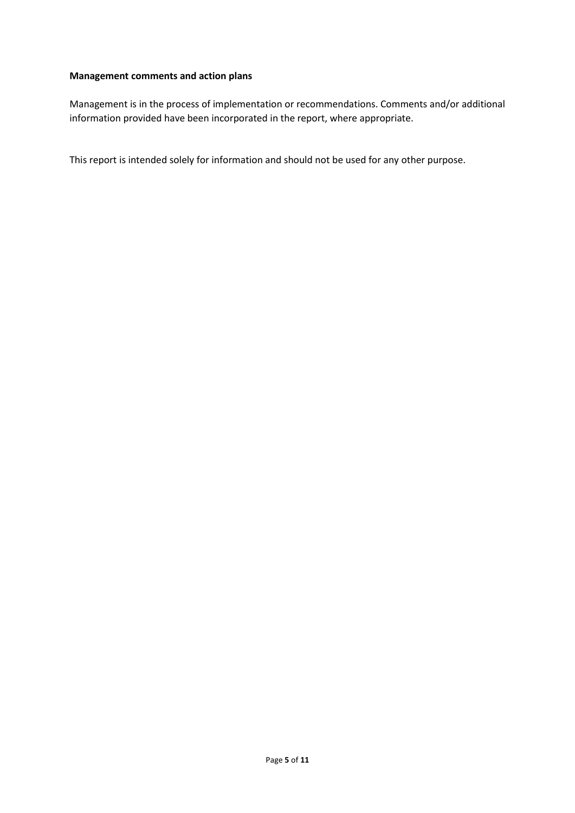### **Management comments and action plans**

Management is in the process of implementation or recommendations. Comments and/or additional information provided have been incorporated in the report, where appropriate.

This report is intended solely for information and should not be used for any other purpose.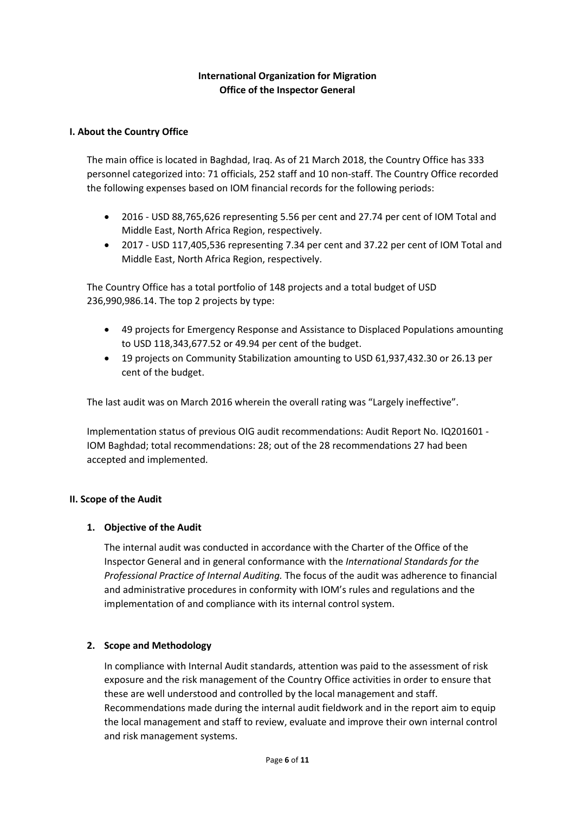# **International Organization for Migration Office of the Inspector General**

### **I. About the Country Office**

The main office is located in Baghdad, Iraq. As of 21 March 2018, the Country Office has 333 personnel categorized into: 71 officials, 252 staff and 10 non-staff. The Country Office recorded the following expenses based on IOM financial records for the following periods:

- 2016 USD 88,765,626 representing 5.56 per cent and 27.74 per cent of IOM Total and Middle East, North Africa Region, respectively.
- 2017 USD 117,405,536 representing 7.34 per cent and 37.22 per cent of IOM Total and Middle East, North Africa Region, respectively.

The Country Office has a total portfolio of 148 projects and a total budget of USD 236,990,986.14. The top 2 projects by type:

- 49 projects for Emergency Response and Assistance to Displaced Populations amounting to USD 118,343,677.52 or 49.94 per cent of the budget.
- 19 projects on Community Stabilization amounting to USD 61,937,432.30 or 26.13 per cent of the budget.

The last audit was on March 2016 wherein the overall rating was "Largely ineffective".

Implementation status of previous OIG audit recommendations: Audit Report No. IQ201601 - IOM Baghdad; total recommendations: 28; out of the 28 recommendations 27 had been accepted and implemented.

#### **II. Scope of the Audit**

#### **1. Objective of the Audit**

The internal audit was conducted in accordance with the Charter of the Office of the Inspector General and in general conformance with the *International Standards for the Professional Practice of Internal Auditing.* The focus of the audit was adherence to financial and administrative procedures in conformity with IOM's rules and regulations and the implementation of and compliance with its internal control system.

#### **2. Scope and Methodology**

In compliance with Internal Audit standards, attention was paid to the assessment of risk exposure and the risk management of the Country Office activities in order to ensure that these are well understood and controlled by the local management and staff. Recommendations made during the internal audit fieldwork and in the report aim to equip the local management and staff to review, evaluate and improve their own internal control and risk management systems.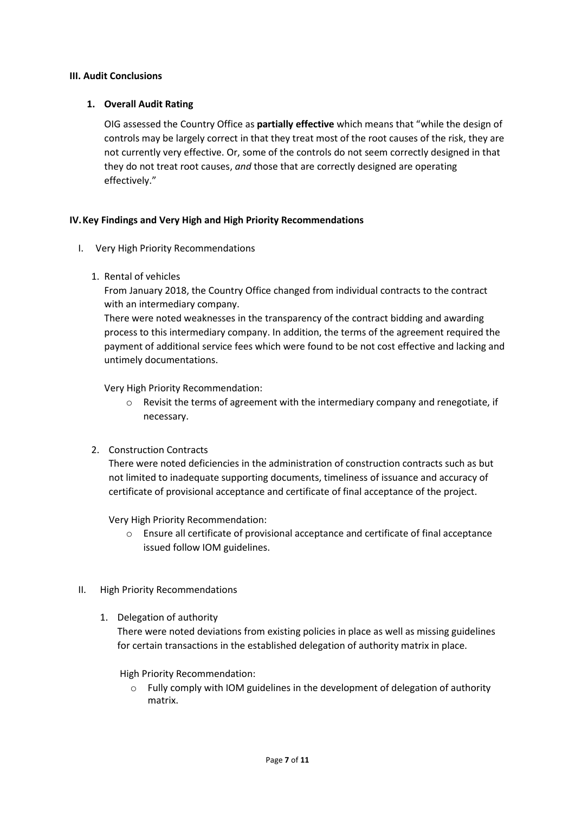#### **III. Audit Conclusions**

# **1. Overall Audit Rating**

OIG assessed the Country Office as **partially effective** which means that "while the design of controls may be largely correct in that they treat most of the root causes of the risk, they are not currently very effective. Or, some of the controls do not seem correctly designed in that they do not treat root causes, *and* those that are correctly designed are operating effectively."

### **IV.Key Findings and Very High and High Priority Recommendations**

- I. Very High Priority Recommendations
	- 1. Rental of vehicles

From January 2018, the Country Office changed from individual contracts to the contract with an intermediary company.

There were noted weaknesses in the transparency of the contract bidding and awarding process to this intermediary company. In addition, the terms of the agreement required the payment of additional service fees which were found to be not cost effective and lacking and untimely documentations.

Very High Priority Recommendation:

- $\circ$  Revisit the terms of agreement with the intermediary company and renegotiate, if necessary.
- 2. Construction Contracts

There were noted deficiencies in the administration of construction contracts such as but not limited to inadequate supporting documents, timeliness of issuance and accuracy of certificate of provisional acceptance and certificate of final acceptance of the project.

Very High Priority Recommendation:

- $\circ$  Ensure all certificate of provisional acceptance and certificate of final acceptance issued follow IOM guidelines.
- II. High Priority Recommendations
	- 1. Delegation of authority

There were noted deviations from existing policies in place as well as missing guidelines for certain transactions in the established delegation of authority matrix in place.

High Priority Recommendation:

 $\circ$  Fully comply with IOM guidelines in the development of delegation of authority matrix.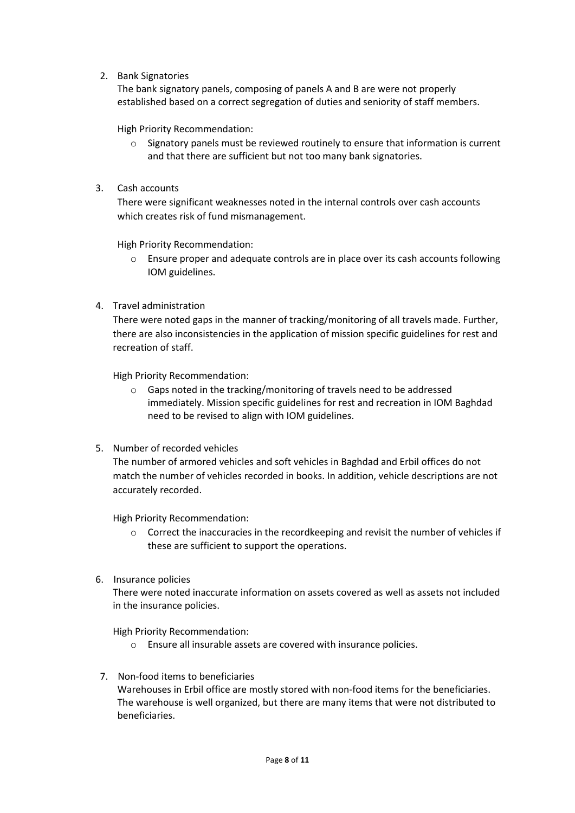2. Bank Signatories

The bank signatory panels, composing of panels A and B are were not properly established based on a correct segregation of duties and seniority of staff members.

High Priority Recommendation:

- $\circ$  Signatory panels must be reviewed routinely to ensure that information is current and that there are sufficient but not too many bank signatories.
- 3. Cash accounts

There were significant weaknesses noted in the internal controls over cash accounts which creates risk of fund mismanagement.

High Priority Recommendation:

- $\circ$  Ensure proper and adequate controls are in place over its cash accounts following IOM guidelines.
- 4. Travel administration

There were noted gaps in the manner of tracking/monitoring of all travels made. Further, there are also inconsistencies in the application of mission specific guidelines for rest and recreation of staff.

High Priority Recommendation:

- o Gaps noted in the tracking/monitoring of travels need to be addressed immediately. Mission specific guidelines for rest and recreation in IOM Baghdad need to be revised to align with IOM guidelines.
- 5. Number of recorded vehicles

The number of armored vehicles and soft vehicles in Baghdad and Erbil offices do not match the number of vehicles recorded in books. In addition, vehicle descriptions are not accurately recorded.

High Priority Recommendation:

- o Correct the inaccuracies in the recordkeeping and revisit the number of vehicles if these are sufficient to support the operations.
- 6. Insurance policies

There were noted inaccurate information on assets covered as well as assets not included in the insurance policies.

High Priority Recommendation:

- o Ensure all insurable assets are covered with insurance policies.
- 7. Non-food items to beneficiaries Warehouses in Erbil office are mostly stored with non-food items for the beneficiaries. The warehouse is well organized, but there are many items that were not distributed to beneficiaries.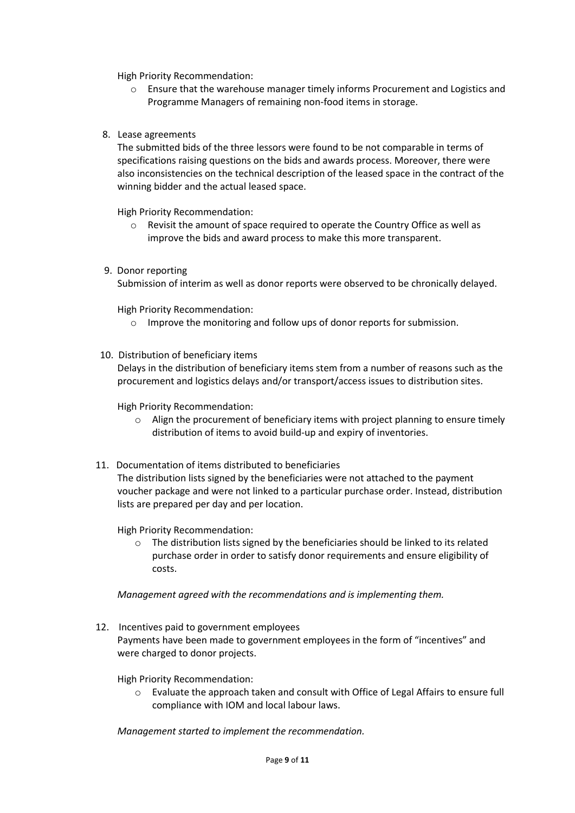High Priority Recommendation:

- o Ensure that the warehouse manager timely informs Procurement and Logistics and Programme Managers of remaining non-food items in storage.
- 8. Lease agreements

The submitted bids of the three lessors were found to be not comparable in terms of specifications raising questions on the bids and awards process. Moreover, there were also inconsistencies on the technical description of the leased space in the contract of the winning bidder and the actual leased space.

High Priority Recommendation:

- o Revisit the amount of space required to operate the Country Office as well as improve the bids and award process to make this more transparent.
- 9. Donor reporting

Submission of interim as well as donor reports were observed to be chronically delayed.

High Priority Recommendation:

- o Improve the monitoring and follow ups of donor reports for submission.
- 10. Distribution of beneficiary items

Delays in the distribution of beneficiary items stem from a number of reasons such as the procurement and logistics delays and/or transport/access issues to distribution sites.

High Priority Recommendation:

- $\circ$  Align the procurement of beneficiary items with project planning to ensure timely distribution of items to avoid build-up and expiry of inventories.
- 11. Documentation of items distributed to beneficiaries

The distribution lists signed by the beneficiaries were not attached to the payment voucher package and were not linked to a particular purchase order. Instead, distribution lists are prepared per day and per location.

High Priority Recommendation:

o The distribution lists signed by the beneficiaries should be linked to its related purchase order in order to satisfy donor requirements and ensure eligibility of costs.

*Management agreed with the recommendations and is implementing them.*

12. Incentives paid to government employees

Payments have been made to government employees in the form of "incentives" and were charged to donor projects.

High Priority Recommendation:

o Evaluate the approach taken and consult with Office of Legal Affairs to ensure full compliance with IOM and local labour laws.

*Management started to implement the recommendation.*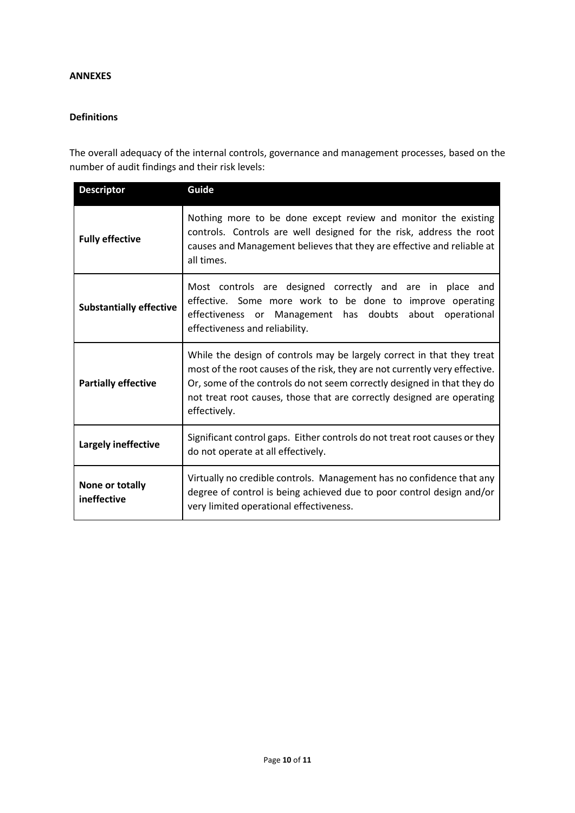#### **ANNEXES**

#### **Definitions**

The overall adequacy of the internal controls, governance and management processes, based on the number of audit findings and their risk levels:

| <b>Descriptor</b>              | Guide                                                                                                                                                                                                                                                                                                                      |  |  |
|--------------------------------|----------------------------------------------------------------------------------------------------------------------------------------------------------------------------------------------------------------------------------------------------------------------------------------------------------------------------|--|--|
| <b>Fully effective</b>         | Nothing more to be done except review and monitor the existing<br>controls. Controls are well designed for the risk, address the root<br>causes and Management believes that they are effective and reliable at<br>all times.                                                                                              |  |  |
| <b>Substantially effective</b> | Most controls are designed correctly and are in place and<br>effective. Some more work to be done to improve operating<br>effectiveness or Management has doubts about operational<br>effectiveness and reliability.                                                                                                       |  |  |
| <b>Partially effective</b>     | While the design of controls may be largely correct in that they treat<br>most of the root causes of the risk, they are not currently very effective.<br>Or, some of the controls do not seem correctly designed in that they do<br>not treat root causes, those that are correctly designed are operating<br>effectively. |  |  |
| Largely ineffective            | Significant control gaps. Either controls do not treat root causes or they<br>do not operate at all effectively.                                                                                                                                                                                                           |  |  |
| None or totally<br>ineffective | Virtually no credible controls. Management has no confidence that any<br>degree of control is being achieved due to poor control design and/or<br>very limited operational effectiveness.                                                                                                                                  |  |  |